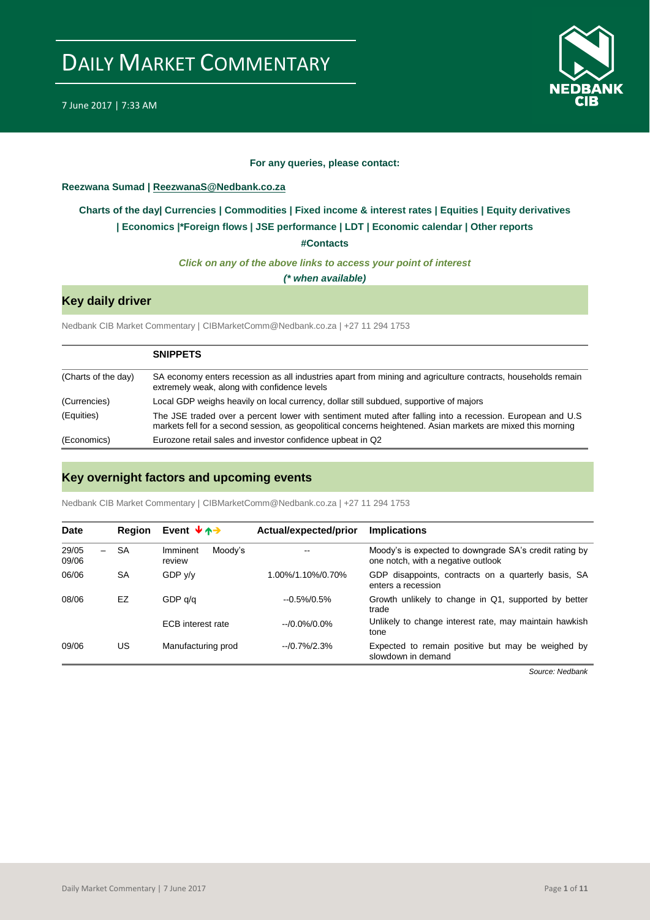

### **For any queries, please contact:**

### <span id="page-0-0"></span>**Reezwana Sumad | ReezwanaS@Nedbank.co.za**

## **[Charts of the day|](#page-1-0) [Currencies](#page-2-0) [| Commodities](#page-3-0) | [Fixed income &](#page-4-0) interest rates | [Equities](#page-5-0) | Equity derivatives | [Economics](#page-6-0) |\*Foreign flows | [JSE performance](#page-7-0) | LDT | [Economic calendar](#page-8-0) | Other reports**

**[#Contacts](#page-9-0)**

*Click on any of the above links to access your point of interest*

*(\* when available)*

## **Key daily driver**

Nedbank CIB Market Commentary | CIBMarketComm@Nedbank.co.za | +27 11 294 1753

|                     | <b>SNIPPETS</b>                                                                                                                                                                                                            |
|---------------------|----------------------------------------------------------------------------------------------------------------------------------------------------------------------------------------------------------------------------|
| (Charts of the day) | SA economy enters recession as all industries apart from mining and agriculture contracts, households remain<br>extremely weak, along with confidence levels                                                               |
| (Currencies)        | Local GDP weighs heavily on local currency, dollar still subdued, supportive of majors                                                                                                                                     |
| (Equities)          | The JSE traded over a percent lower with sentiment muted after falling into a recession. European and U.S.<br>markets fell for a second session, as geopolitical concerns heightened. Asian markets are mixed this morning |
| (Economics)         | Eurozone retail sales and investor confidence upbeat in Q2                                                                                                                                                                 |

## **Key overnight factors and upcoming events**

Nedbank CIB Market Commentary | CIBMarketComm@Nedbank.co.za | +27 11 294 1753

| <b>Date</b>                                | <b>Region</b> | Event $\forall$ $\land \rightarrow$ | Actual/expected/prior | <b>Implications</b>                                                                          |
|--------------------------------------------|---------------|-------------------------------------|-----------------------|----------------------------------------------------------------------------------------------|
| 29/05<br>$\overline{\phantom{0}}$<br>09/06 | <b>SA</b>     | Moody's<br>Imminent<br>review       | $\sim$ $\sim$         | Moody's is expected to downgrade SA's credit rating by<br>one notch, with a negative outlook |
| 06/06                                      | <b>SA</b>     | GDP y/y                             | 1.00%/1.10%/0.70%     | GDP disappoints, contracts on a quarterly basis, SA<br>enters a recession                    |
| 08/06                                      | EZ            | GDP q/q                             | $-0.5\%/0.5\%$        | Growth unlikely to change in Q1, supported by better<br>trade                                |
|                                            |               | <b>ECB</b> interest rate            | $-10.0\%/0.0\%$       | Unlikely to change interest rate, may maintain hawkish<br>tone                               |
| 09/06                                      | US            | Manufacturing prod                  | $-10.7\%/2.3\%$       | Expected to remain positive but may be weighed by<br>slowdown in demand                      |

*Source: Nedbank*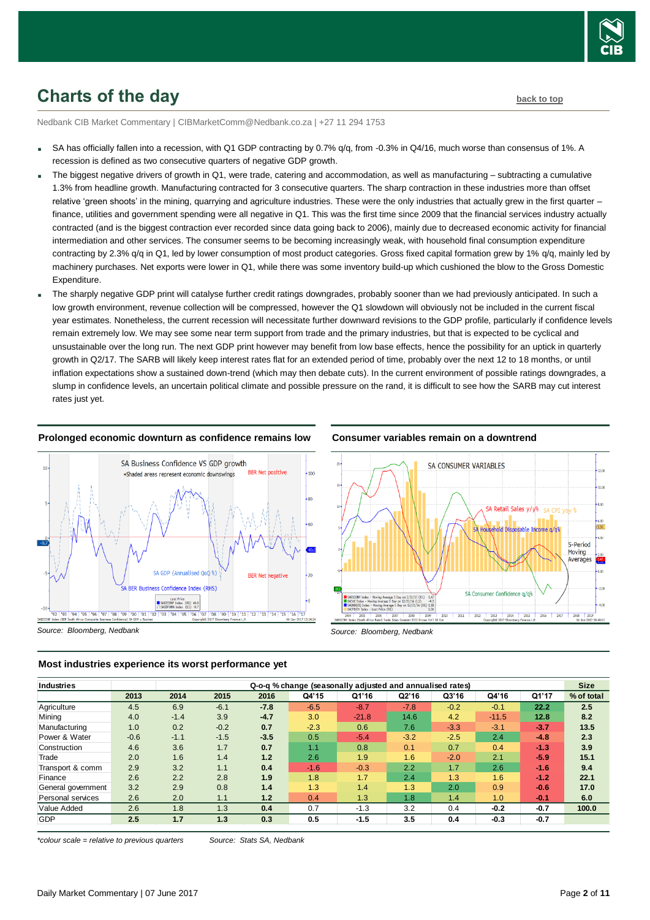

## <span id="page-1-0"></span>**Charts of the day [back to top](#page-0-0)**

Nedbank CIB Market Commentary | CIBMarketComm@Nedbank.co.za | +27 11 294 1753

- SA has officially fallen into a recession, with Q1 GDP contracting by 0.7% g/g, from -0.3% in Q4/16, much worse than consensus of 1%. A recession is defined as two consecutive quarters of negative GDP growth.
- The biggest negative drivers of growth in Q1, were trade, catering and accommodation, as well as manufacturing subtracting a cumulative 1.3% from headline growth. Manufacturing contracted for 3 consecutive quarters. The sharp contraction in these industries more than offset relative 'green shoots' in the mining, quarrying and agriculture industries. These were the only industries that actually grew in the first quarter – finance, utilities and government spending were all negative in Q1. This was the first time since 2009 that the financial services industry actually contracted (and is the biggest contraction ever recorded since data going back to 2006), mainly due to decreased economic activity for financial intermediation and other services. The consumer seems to be becoming increasingly weak, with household final consumption expenditure contracting by 2.3% q/q in Q1, led by lower consumption of most product categories. Gross fixed capital formation grew by 1% q/q, mainly led by machinery purchases. Net exports were lower in Q1, while there was some inventory build-up which cushioned the blow to the Gross Domestic Expenditure.
- The sharply negative GDP print will catalyse further credit ratings downgrades, probably sooner than we had previously anticipated. In such a low growth environment, revenue collection will be compressed, however the Q1 slowdown will obviously not be included in the current fiscal year estimates. Nonetheless, the current recession will necessitate further downward revisions to the GDP profile, particularly if confidence levels remain extremely low. We may see some near term support from trade and the primary industries, but that is expected to be cyclical and unsustainable over the long run. The next GDP print however may benefit from low base effects, hence the possibility for an uptick in quarterly growth in Q2/17. The SARB will likely keep interest rates flat for an extended period of time, probably over the next 12 to 18 months, or until inflation expectations show a sustained down-trend (which may then debate cuts). In the current environment of possible ratings downgrades, a slump in confidence levels, an uncertain political climate and possible pressure on the rand, it is difficult to see how the SARB may cut interest rates just yet.

### **Prolonged economic downturn as confidence remains low**







**Most industries experience its worst performance yet**

| Industries         |        |        | Q-o-q % change (seasonally adjusted and annualised rates) |        |        |         |        |        |         |        | <b>Size</b> |
|--------------------|--------|--------|-----------------------------------------------------------|--------|--------|---------|--------|--------|---------|--------|-------------|
|                    | 2013   | 2014   | 2015                                                      | 2016   | Q4'15  | Q1'16   | Q2'16  | Q3'16  | Q4'16   | Q1'17  | % of total  |
| Agriculture        | 4.5    | 6.9    | $-6.1$                                                    | $-7.8$ | $-6.5$ | $-8.7$  | $-7.8$ | $-0.2$ | $-0.1$  | 22.2   | 2.5         |
| Mining             | 4.0    | $-1.4$ | 3.9                                                       | $-4.7$ | 3.0    | $-21.8$ | 14.6   | 4.2    | $-11.5$ | 12.8   | 8.2         |
| Manufacturing      | 1.0    | 0.2    | $-0.2$                                                    | 0.7    | $-2.3$ | 0.6     | 7.6    | $-3.3$ | $-3.1$  | $-3.7$ | 13.5        |
| Power & Water      | $-0.6$ | $-1.1$ | $-1.5$                                                    | $-3.5$ | 0.5    | $-5.4$  | $-3.2$ | $-2.5$ | 2.4     | $-4.8$ | 2.3         |
| Construction       | 4.6    | 3.6    | 1.7                                                       | 0.7    | 1.1    | 0.8     | 0.1    | 0.7    | 0.4     | $-1.3$ | 3.9         |
| Trade              | 2.0    | 1.6    | 1.4                                                       | 1.2    | 2.6    | 1.9     | 1.6    | $-2.0$ | 2.1     | $-5.9$ | 15.1        |
| Transport & comm   | 2.9    | 3.2    | 1.1                                                       | 0.4    | $-1.6$ | $-0.3$  | 2.2    | 1.7    | 2.6     | $-1.6$ | 9.4         |
| Finance            | 2.6    | 2.2    | 2.8                                                       | 1.9    | 1.8    | 1.7     | 2.4    | 1.3    | 1.6     | $-1.2$ | 22.1        |
| General government | 3.2    | 2.9    | 0.8                                                       | 1.4    | 1.3    | 1.4     | 1.3    | 2.0    | 0.9     | $-0.6$ | 17.0        |
| Personal services  | 2.6    | 2.0    | 1.1                                                       | 1.2    | 0.4    | 1.3     | 1.8    | 1.4    | 1.0     | $-0.1$ | 6.0         |
| Value Added        | 2.6    | 1.8    | 1.3                                                       | 0.4    | 0.7    | $-1.3$  | 3.2    | 0.4    | $-0.2$  | $-0.7$ | 100.0       |
| <b>GDP</b>         | 2.5    | 1.7    | 1.3                                                       | 0.3    | 0.5    | $-1.5$  | 3.5    | 0.4    | $-0.3$  | $-0.7$ |             |

*\*colour scale = relative to previous quarters Source: Stats SA, Nedbank*

*Source: Bloomberg, Nedbank*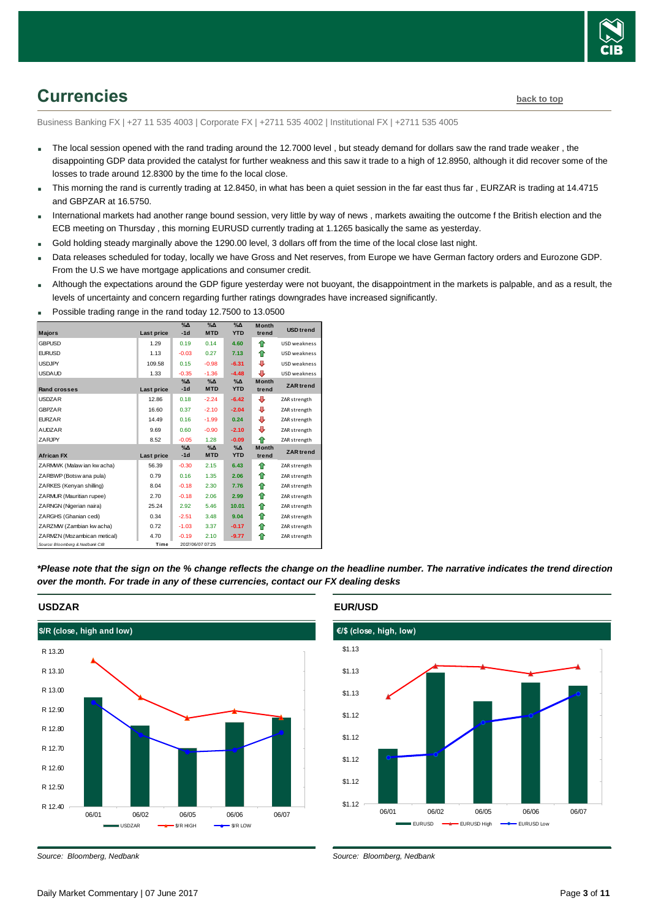

## <span id="page-2-0"></span>**Currencies [back to top](#page-0-0)**

Business Banking FX | +27 11 535 4003 | Corporate FX | +2711 535 4002 | Institutional FX | +2711 535 4005

- The local session opened with the rand trading around the 12.7000 level, but steady demand for dollars saw the rand trade weaker, the disappointing GDP data provided the catalyst for further weakness and this saw it trade to a high of 12.8950, although it did recover some of the losses to trade around 12.8300 by the time fo the local close.
- This morning the rand is currently trading at 12.8450, in what has been a quiet session in the far east thus far , EURZAR is trading at 14.4715 and GBPZAR at 16.5750.
- International markets had another range bound session, very little by way of news , markets awaiting the outcome f the British election and the ECB meeting on Thursday , this morning EURUSD currently trading at 1.1265 basically the same as yesterday.
- Gold holding steady marginally above the 1290.00 level, 3 dollars off from the time of the local close last night.
- Data releases scheduled for today, locally we have Gross and Net reserves, from Europe we have German factory orders and Eurozone GDP. From the U.S we have mortgage applications and consumer credit.
- Although the expectations around the GDP figure yesterday were not buoyant, the disappointment in the markets is palpable, and as a result, the levels of uncertainty and concern regarding further ratings downgrades have increased significantly.

| <b>Majors</b>                   | Last price | $\sqrt{2}$<br>$-1d$    | $\sqrt{\Delta}$<br><b>MTD</b> | $\%$ $\Delta$<br><b>YTD</b> | <b>Month</b><br>trend | <b>USD</b> trend |
|---------------------------------|------------|------------------------|-------------------------------|-----------------------------|-----------------------|------------------|
| <b>GBPUSD</b>                   | 1.29       | 0.19                   | 0.14                          | 4.60                        | ⇑                     | USD weakness     |
| <b>EURUSD</b>                   | 1.13       | $-0.03$                | 0.27                          | 7.13                        | ⇑                     | USD weakness     |
| <b>USDJPY</b>                   | 109.58     | 0.15                   | $-0.98$                       | $-6.31$                     | ⊕                     | USD weakness     |
| <b>USDAUD</b>                   | 1.33       | $-0.35$                | $-1.36$                       | $-4.48$                     | ₽                     | USD weakness     |
|                                 |            | $\%$ $\Delta$          | $\Delta$                      | $\%$ $\Delta$               | <b>Month</b>          |                  |
| <b>Rand crosses</b>             | Last price | $-1d$                  | <b>MTD</b>                    | <b>YTD</b>                  | trend                 | <b>ZAR</b> trend |
| <b>USDZAR</b>                   | 12.86      | 0.18                   | $-2.24$                       | $-6.42$                     | ⊕                     | ZAR strength     |
| <b>GBPZAR</b>                   | 16.60      | 0.37                   | $-2.10$                       | $-2.04$                     | ⊕                     | ZAR strength     |
| <b>FURZAR</b>                   | 14.49      | 0.16                   | $-1.99$                       | 0.24                        | ⊕                     | ZAR strength     |
| <b>AUDZAR</b>                   | 9.69       | 0.60                   | $-0.90$                       | $-2.10$                     | ⊕                     | ZAR strength     |
| <b>ZARJPY</b>                   | 8.52       | $-0.05$                | 1.28                          | $-0.09$                     | ⇑                     | ZAR strength     |
|                                 |            | $\%$ $\Delta$<br>$-1d$ | $\% \Delta$<br><b>MTD</b>     | $\%$ $\Delta$<br><b>YTD</b> | <b>Month</b>          | <b>ZAR</b> trend |
| <b>African FX</b>               | Last price |                        |                               |                             | trend                 |                  |
| ZARMWK (Malaw ian kw acha)      | 56.39      | $-0.30$                | 2.15                          | 6.43                        | ♠                     | ZAR strength     |
| ZARBWP (Botsw ana pula)         | 0.79       | 0.16                   | 1.35                          | 2.06                        | ⇑                     | ZAR strength     |
| ZARKES (Kenyan shilling)        | 8.04       | $-0.18$                | 2.30                          | 7.76                        | ⇑                     | ZAR strength     |
| ZARMUR (Mauritian rupee)        | 2.70       | $-0.18$                | 2.06                          | 2.99                        | ⇑                     | ZAR strength     |
| ZARNGN (Nigerian naira)         | 25.24      | 2.92                   | 5.46                          | 10.01                       | ♠                     | ZAR strength     |
| ZARGHS (Ghanian cedi)           | 0.34       | $-2.51$                | 3.48                          | 9.04                        | ⇑                     | ZAR strength     |
| ZARZMW (Zambian kw acha)        | 0.72       | $-1.03$                | 3.37                          | $-0.17$                     | ⇑                     | ZAR strength     |
| ZARMZN (Mozambican metical)     | 4.70       | $-0.19$                | 2.10                          | $-9.77$                     | ♠                     | ZAR strength     |
| Source: Bloomberg & Nedbank CIB | Time       |                        | 2017/06/07 07:25              |                             |                       |                  |

Possible trading range in the rand today 12.7500 to 13.0500

*\*Please note that the sign on the % change reflects the change on the headline number. The narrative indicates the trend direction over the month. For trade in any of these currencies, contact our FX dealing desks*



### **EUR/USD**



*Source: Bloomberg, Nedbank*

*Source: Bloomberg, Nedbank*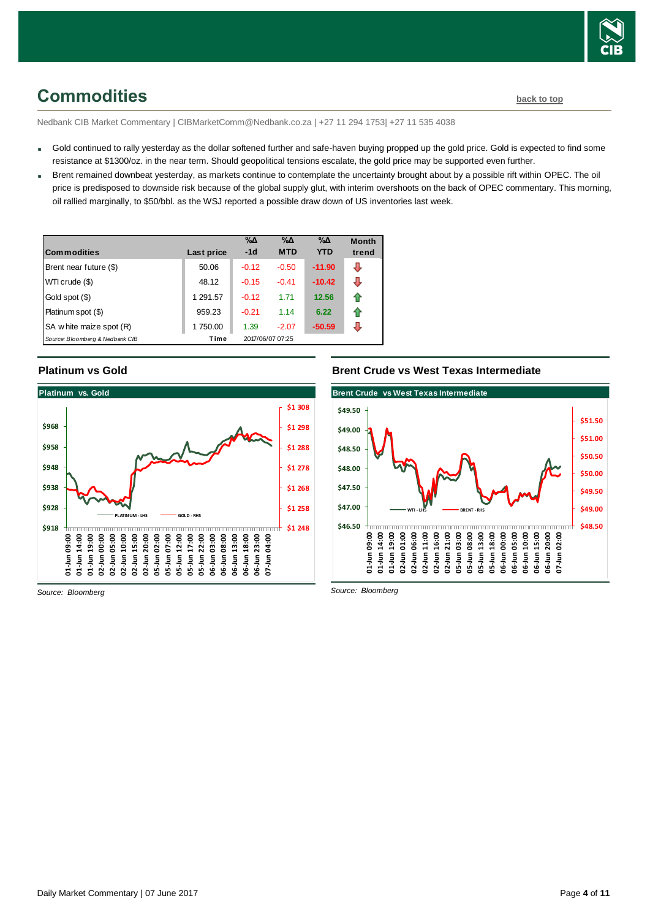

## <span id="page-3-0"></span>**Commodities [back to top](#page-0-0)**

Nedbank CIB Market Commentary | CIBMarketComm@Nedbank.co.za | +27 11 294 1753| +27 11 535 4038

- Gold continued to rally yesterday as the dollar softened further and safe-haven buying propped up the gold price. Gold is expected to find some resistance at \$1300/oz. in the near term. Should geopolitical tensions escalate, the gold price may be supported even further.
- Brent remained downbeat yesterday, as markets continue to contemplate the uncertainty brought about by a possible rift within OPEC. The oil price is predisposed to downside risk because of the global supply glut, with interim overshoots on the back of OPEC commentary. This morning, oil rallied marginally, to \$50/bbl. as the WSJ reported a possible draw down of US inventories last week.

| <b>Commodities</b>              | Last price | $\% \Delta$<br>$-1d$ | $\% \Delta$<br><b>MTD</b> | $\% \Delta$<br><b>YTD</b> | <b>Month</b><br>trend |
|---------------------------------|------------|----------------------|---------------------------|---------------------------|-----------------------|
| Brent near future (\$)          | 50.06      | $-0.12$              | $-0.50$                   | $-11.90$                  | ⊕                     |
| WTI crude (\$)                  | 48.12      | $-0.15$              | $-0.41$                   | $-10.42$                  | ⇩                     |
| Gold spot (\$)                  | 1 291.57   | $-0.12$              | 1.71                      | 12.56                     | ⇑                     |
| Platinum spot (\$)              | 959.23     | $-0.21$              | 1.14                      | 6.22                      | ⇑                     |
| SA w hite maize spot (R)        | 1750.00    | 1.39                 | $-2.07$                   | $-50.59$                  | ⇩                     |
| Source: Bloomberg & Nedbank CIB | Time       |                      | 2017/06/07 07:25          |                           |                       |

### **Platinum vs Gold**



### **Brent Crude vs West Texas Intermediate**



*Source: Bloomberg*

*Source: Bloomberg*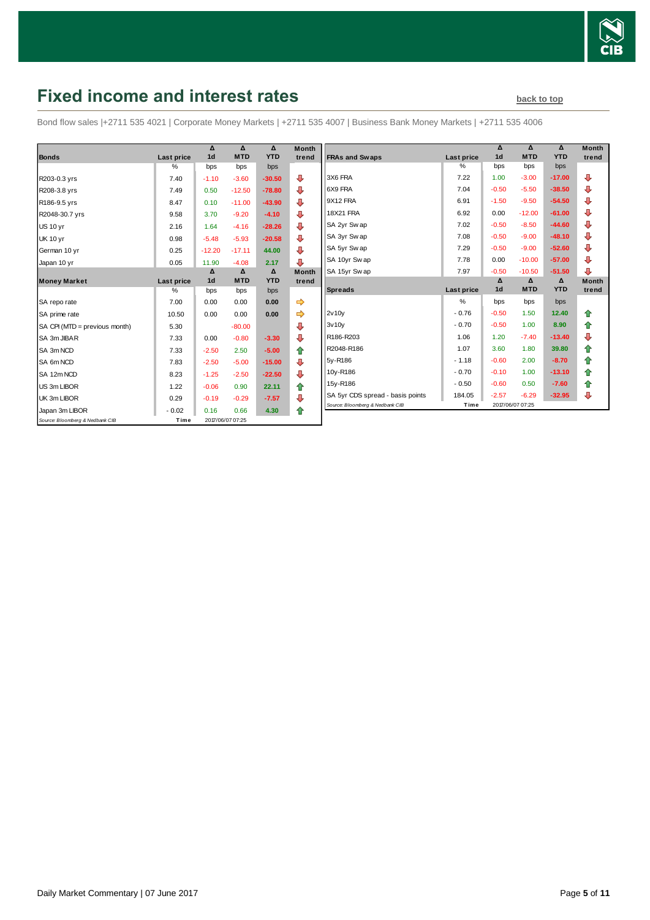

## <span id="page-4-0"></span>**Fixed income and interest rates back to the [back to top](#page-0-0)**

Bond flow sales |+2711 535 4021 | Corporate Money Markets | +2711 535 4007 | Business Bank Money Markets | +2711 535 4006

| <b>Bonds</b>                    | Last price         | Δ<br>1 <sub>d</sub> | Δ<br><b>MTD</b>        | Δ<br><b>YTD</b> | <b>Month</b><br>trend |
|---------------------------------|--------------------|---------------------|------------------------|-----------------|-----------------------|
|                                 | $\%$               | bps                 | bps                    | bps             |                       |
| R203-0.3 yrs                    | 7.40               | $-1.10$             | $-3.60$                | $-30.50$        | ⊕                     |
| R208-3.8 yrs                    | 7.49               | 0.50                | $-12.50$               | $-78.80$        | ⊕                     |
| R186-9.5 yrs                    | 8.47               | 0.10                | $-11.00$               | $-43.90$        | ⇩                     |
| R2048-30.7 yrs                  | 9.58               | 3.70                | $-9.20$                | $-4.10$         | ⊕                     |
| <b>US 10 yr</b>                 | 2.16               | 1.64                | $-4.16$                | $-28.26$        | ⊕                     |
| <b>UK 10 yr</b>                 | 0.98               | $-5.48$             | $-5.93$                | $-20.58$        | ⊕                     |
| German 10 yr                    | 0.25               | $-12.20$            | $-17.11$               | 44.00           | ⊕                     |
| Japan 10 yr                     | 0.05               | 11.90               | $-4.08$                | 2.17            | ⊕                     |
|                                 |                    | Δ<br>1 <sub>d</sub> | $\Delta$<br><b>MTD</b> | Δ<br><b>YTD</b> | <b>Month</b>          |
| <b>Money Market</b>             | Last price<br>$\%$ |                     |                        |                 | trend                 |
|                                 |                    | bps                 | bps                    | bps             |                       |
| SA repo rate                    | 7.00               | 0.00                | 0.00                   | 0.00            | ⇛                     |
| SA prime rate                   | 10.50              | 0.00                | 0.00                   | 0.00            | ⇛                     |
| SA CPI (MTD = previous month)   | 5.30               |                     | $-80.00$               |                 | ⊕                     |
| SA 3m JIBAR                     | 7.33               | 0.00                | $-0.80$                | $-3.30$         | ⊕                     |
| SA 3m NCD                       | 7.33               | $-2.50$             | 2.50                   | $-5.00$         | ⇑                     |
| SA 6m NCD                       | 7.83               | $-2.50$             | $-5.00$                | $-15.00$        | ♦                     |
| SA 12m NCD                      | 8.23               | $-1.25$             | $-2.50$                | $-22.50$        | ⇩                     |
| US 3m LIBOR                     | 1.22               | $-0.06$             | 0.90                   | 22.11           | ⇑                     |
| UK 3m LIBOR                     | 0.29               | $-0.19$             | $-0.29$                | $-7.57$         | ⊕                     |
| Japan 3m LIBOR                  | $-0.02$            | 0.16                | 0.66                   | 4.30            | ♠                     |
| Source: Bloomberg & Nedbank CIB | Time               |                     | 2017/06/07 07:25       |                 |                       |

|                                  |            | Δ              | Δ          | Δ          | <b>Month</b> |
|----------------------------------|------------|----------------|------------|------------|--------------|
| <b>FRAs and Swaps</b>            | Last price | 1 <sub>d</sub> | <b>MTD</b> | <b>YTD</b> | trend        |
|                                  | %          | bps            | bps        | bps        |              |
| 3X6 FRA                          | 7.22       | 1.00           | $-3.00$    | $-17.00$   | ⊕            |
| 6X9 FRA                          | 7.04       | $-0.50$        | $-5.50$    | $-38.50$   | ⊕            |
| 9X12 FRA                         | 6.91       | $-1.50$        | $-9.50$    | $-54.50$   | ⊕            |
| <b>18X21 FRA</b>                 | 6.92       | 0.00           | $-12.00$   | $-61.00$   | ⊕            |
| SA 2yr Swap                      | 7.02       | $-0.50$        | $-8.50$    | $-44.60$   | ⊕            |
| SA 3yr Sw ap                     | 7.08       | $-0.50$        | $-9.00$    | $-48.10$   | ⊕            |
| SA 5yr Swap                      | 7.29       | $-0.50$        | $-9.00$    | $-52.60$   | ⊕            |
| SA 10yr Swap                     | 7.78       | 0.00           | $-10.00$   | $-57.00$   | ⊕            |
| SA 15yr Sw ap                    | 7.97       | $-0.50$        | $-10.50$   | $-51.50$   | ⊕            |
|                                  |            | Δ              | Δ          | Δ          | <b>Month</b> |
| <b>Spreads</b>                   | Last price | 1 <sub>d</sub> | <b>MTD</b> | <b>YTD</b> | trend        |
|                                  | %          | bps            | bps        | bps        |              |
| 2v10v                            | $-0.76$    | $-0.50$        | 1.50       | 12.40      | ⇑            |
| 3v10v                            | $-0.70$    | $-0.50$        | 1.00       | 8.90       | ✿            |
| R186-R203                        | 1.06       | 1.20           | $-7.40$    | $-13.40$   | ₽            |
| R2048-R186                       | 1.07       | 3.60           | 1.80       | 39.80      | ✿            |
| 5y-R186                          | $-1.18$    | $-0.60$        | 2.00       | $-8.70$    | 合            |
| 10y-R186                         | $-0.70$    | $-0.10$        | 1.00       | $-13.10$   | ⇑            |
|                                  |            |                |            |            |              |
| 15y-R186                         | $-0.50$    | $-0.60$        | 0.50       | $-7.60$    | ✿            |
| SA 5yr CDS spread - basis points | 184.05     | $-2.57$        | $-6.29$    | $-32.95$   | ⊕            |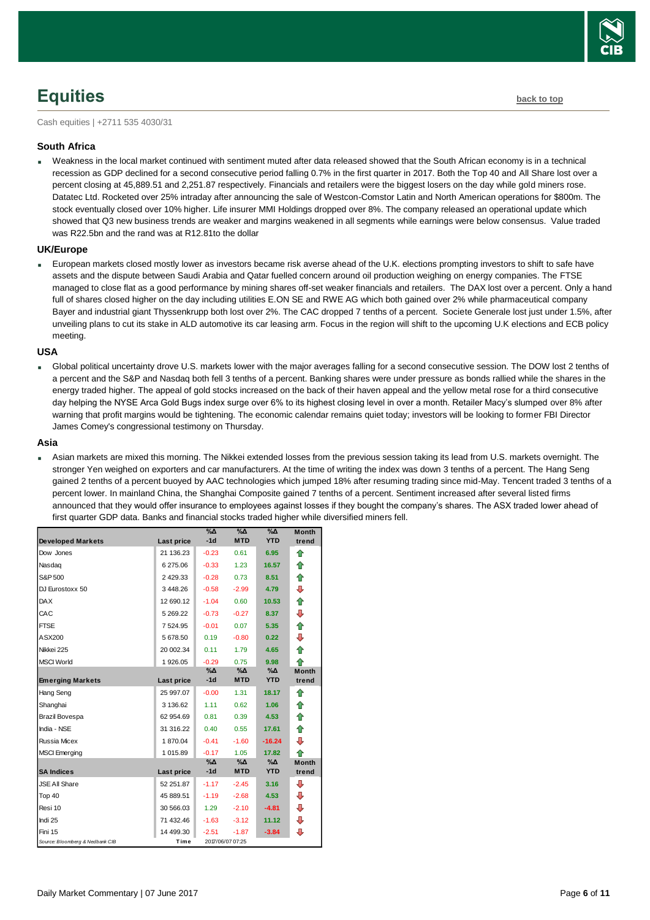# <span id="page-5-0"></span>**Equities [back to top](#page-0-0)**

Cash equities | +2711 535 4030/31

### **South Africa**

 Weakness in the local market continued with sentiment muted after data released showed that the South African economy is in a technical recession as GDP declined for a second consecutive period falling 0.7% in the first quarter in 2017. Both the Top 40 and All Share lost over a percent closing at 45,889.51 and 2,251.87 respectively. Financials and retailers were the biggest losers on the day while gold miners rose. Datatec Ltd. Rocketed over 25% intraday after announcing the sale of Westcon-Comstor Latin and North American operations for \$800m. The stock eventually closed over 10% higher. Life insurer MMI Holdings dropped over 8%. The company released an operational update which showed that Q3 new business trends are weaker and margins weakened in all segments while earnings were below consensus. Value traded was R22.5bn and the rand was at R12.81to the dollar

### **UK/Europe**

 European markets closed mostly lower as investors became risk averse ahead of the U.K. elections prompting investors to shift to safe have assets and the dispute between Saudi Arabia and Qatar fuelled concern around oil production weighing on energy companies. The FTSE managed to close flat as a good performance by mining shares off-set weaker financials and retailers. The DAX lost over a percent. Only a hand full of shares closed higher on the day including utilities E.ON SE and RWE AG which both gained over 2% while pharmaceutical company Bayer and industrial giant Thyssenkrupp both lost over 2%. The CAC dropped 7 tenths of a percent. Societe Generale lost just under 1.5%, after unveiling plans to cut its stake in ALD automotive its car leasing arm. Focus in the region will shift to the upcoming U.K elections and ECB policy meeting.

### **USA**

 Global political uncertainty drove U.S. markets lower with the major averages falling for a second consecutive session. The DOW lost 2 tenths of a percent and the S&P and Nasdaq both fell 3 tenths of a percent. Banking shares were under pressure as bonds rallied while the shares in the energy traded higher. The appeal of gold stocks increased on the back of their haven appeal and the yellow metal rose for a third consecutive day helping the NYSE Arca Gold Bugs index surge over 6% to its highest closing level in over a month. Retailer Macy's slumped over 8% after warning that profit margins would be tightening. The economic calendar remains quiet today; investors will be looking to former FBI Director James Comey's congressional testimony on Thursday.

### **Asia**

 Asian markets are mixed this morning. The Nikkei extended losses from the previous session taking its lead from U.S. markets overnight. The stronger Yen weighed on exporters and car manufacturers. At the time of writing the index was down 3 tenths of a percent. The Hang Seng gained 2 tenths of a percent buoyed by AAC technologies which jumped 18% after resuming trading since mid-May. Tencent traded 3 tenths of a percent lower. In mainland China, the Shanghai Composite gained 7 tenths of a percent. Sentiment increased after several listed firms announced that they would offer insurance to employees against losses if they bought the company's shares. The ASX traded lower ahead of first quarter GDP data. Banks and financial stocks traded higher while diversified miners fell.

|                                 |            | $\%$ $\Delta$ | $\Delta_0$       | $\Delta_0$ | <b>Month</b> |
|---------------------------------|------------|---------------|------------------|------------|--------------|
| <b>Developed Markets</b>        | Last price | $-1d$         | <b>MTD</b>       | <b>YTD</b> | trend        |
| Dow Jones                       | 21 136.23  | $-0.23$       | 0.61             | 6.95       | ⇑            |
| Nasdag                          | 6 275.06   | $-0.33$       | 1.23             | 16.57      | ⇑            |
| S&P 500                         | 2 429.33   | $-0.28$       | 0.73             | 8.51       | ⇮            |
| DJ Eurostoxx 50                 | 3448.26    | $-0.58$       | $-2.99$          | 4.79       | ⊕            |
| <b>DAX</b>                      | 12 690.12  | $-1.04$       | 0.60             | 10.53      | ⇑            |
| CAC                             | 5 269.22   | $-0.73$       | $-0.27$          | 8.37       | ⊕            |
| <b>FTSE</b>                     | 7 5 24.95  | $-0.01$       | 0.07             | 5.35       | ⇮            |
| ASX200                          | 5 678.50   | 0.19          | $-0.80$          | 0.22       | ⊕            |
| Nikkei 225                      | 20 002.34  | 0.11          | 1.79             | 4.65       | ⇑            |
| <b>MSCI World</b>               | 1926.05    | $-0.29$       | 0.75             | 9.98       | 全            |
|                                 |            | $\% \Delta$   | %Δ               | %Δ         | <b>Month</b> |
| <b>Emerging Markets</b>         | Last price | $-1d$         | <b>MTD</b>       | <b>YTD</b> | trend        |
| Hang Seng                       | 25 997.07  | $-0.00$       | 1.31             | 18.17      | ⇑            |
| Shanghai                        | 3 136.62   | 1.11          | 0.62             | 1.06       | ⇑            |
| <b>Brazil Bovespa</b>           | 62 954.69  | 0.81          | 0.39             | 4.53       | ⇑            |
| India - NSE                     | 31 316.22  | 0.40          | 0.55             | 17.61      | ✿            |
| Russia Micex                    | 1870.04    | $-0.41$       | $-1.60$          | $-16.24$   | ⊕            |
| <b>MSCI</b> Emerging            | 1 015.89   | $-0.17$       | 1.05             | 17.82      | ♠            |
|                                 |            | %Δ            | %Δ               | %Δ         | <b>Month</b> |
| <b>SA Indices</b>               | Last price | $-1d$         | <b>MTD</b>       | <b>YTD</b> | trend        |
| <b>JSE All Share</b>            | 52 251.87  | $-1.17$       | $-2.45$          | 3.16       | ⊕            |
| Top 40                          | 45 889.51  | $-1.19$       | $-2.68$          | 4.53       | ⊕            |
| Resi 10                         | 30 566.03  | 1.29          | $-2.10$          | $-4.81$    | ⊕            |
| Indi 25                         | 71 432.46  | $-1.63$       | $-3.12$          | 11.12      | ⊕            |
| Fini 15                         | 14 499.30  | $-2.51$       | $-1.87$          | $-3.84$    | ⊕            |
| Source: Bloomberg & Nedbank CIB | Time       |               | 2017/06/07 07:25 |            |              |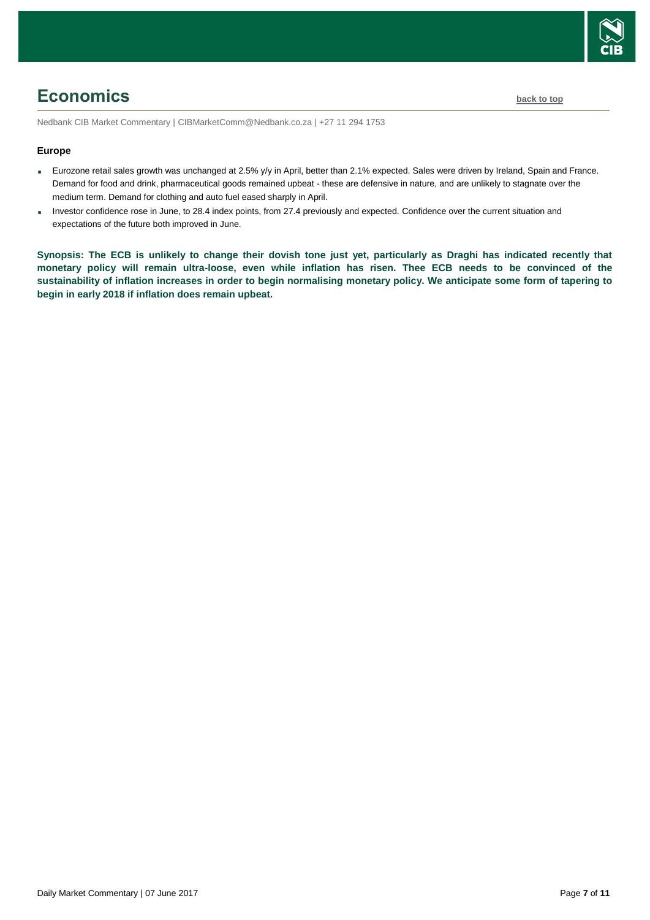

## <span id="page-6-0"></span>**Economics [back to top](#page-0-0)**

Nedbank CIB Market Commentary | CIBMarketComm@Nedbank.co.za | +27 11 294 1753

### **Europe**

- Eurozone retail sales growth was unchanged at 2.5% y/y in April, better than 2.1% expected. Sales were driven by Ireland, Spain and France. Demand for food and drink, pharmaceutical goods remained upbeat - these are defensive in nature, and are unlikely to stagnate over the medium term. Demand for clothing and auto fuel eased sharply in April.
- Investor confidence rose in June, to 28.4 index points, from 27.4 previously and expected. Confidence over the current situation and expectations of the future both improved in June.

**Synopsis: The ECB is unlikely to change their dovish tone just yet, particularly as Draghi has indicated recently that monetary policy will remain ultra-loose, even while inflation has risen. Thee ECB needs to be convinced of the sustainability of inflation increases in order to begin normalising monetary policy. We anticipate some form of tapering to begin in early 2018 if inflation does remain upbeat.**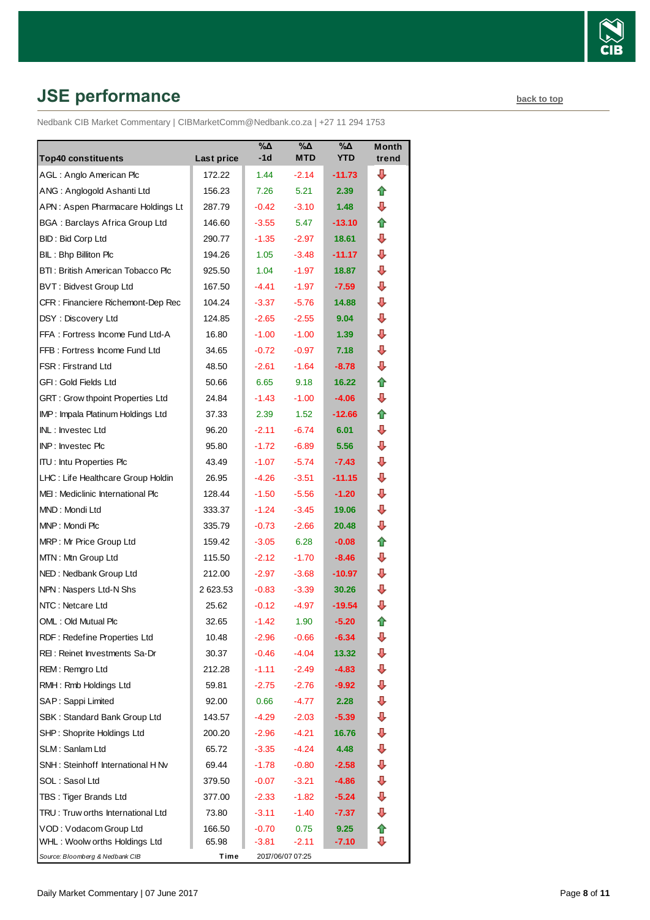

# <span id="page-7-0"></span>**JSE performance [back to top](#page-0-0)**

Nedbank CIB Market Commentary | CIBMarketComm@Nedbank.co.za | +27 11 294 1753

| <b>Top40 constituents</b>             | Last price | $\sqrt{20}$<br>-1d | $\sqrt{20}$<br><b>MTD</b> | $\sqrt{2}$<br><b>YTD</b> | <b>Month</b><br>trend |
|---------------------------------------|------------|--------------------|---------------------------|--------------------------|-----------------------|
| AGL: Anglo American Plc               | 172.22     | 1.44               | $-2.14$                   | $-11.73$                 | ⊕                     |
| ANG: Anglogold Ashanti Ltd            | 156.23     | 7.26               | 5.21                      | 2.39                     | ⇑                     |
| APN: Aspen Pharmacare Holdings Lt     | 287.79     | $-0.42$            | $-3.10$                   | 1.48                     | ⊕                     |
| <b>BGA: Barclays Africa Group Ltd</b> | 146.60     | $-3.55$            | 5.47                      | $-13.10$                 | ⇑                     |
| <b>BID: Bid Corp Ltd</b>              | 290.77     | $-1.35$            | $-2.97$                   | 18.61                    | ⇩                     |
| BIL: Bhp Billiton Plc                 | 194.26     | 1.05               | $-3.48$                   | $-11.17$                 | ⊕                     |
| BTI: British American Tobacco Plc     | 925.50     | 1.04               | $-1.97$                   | 18.87                    | ⊕                     |
| <b>BVT: Bidvest Group Ltd</b>         | 167.50     | $-4.41$            | $-1.97$                   | $-7.59$                  | ⊕                     |
| CFR : Financiere Richemont-Dep Rec    | 104.24     | $-3.37$            | $-5.76$                   | 14.88                    | ⊕                     |
| DSY: Discovery Ltd                    | 124.85     | $-2.65$            | $-2.55$                   | 9.04                     | ⇩                     |
| FFA: Fortress Income Fund Ltd-A       | 16.80      | $-1.00$            | $-1.00$                   | 1.39                     | ⊕                     |
| FFB: Fortress Income Fund Ltd         | 34.65      | $-0.72$            | $-0.97$                   | 7.18                     | ⇩                     |
| FSR: Firstrand Ltd                    | 48.50      | $-2.61$            | $-1.64$                   | $-8.78$                  | ⊕                     |
| GFI: Gold Fields Ltd                  | 50.66      | 6.65               | 9.18                      | 16.22                    | ✿                     |
| GRT : Grow thpoint Properties Ltd     | 24.84      | $-1.43$            | $-1.00$                   | $-4.06$                  | ⇩                     |
| IMP: Impala Platinum Holdings Ltd     | 37.33      | 2.39               | 1.52                      | $-12.66$                 | ⇑                     |
| INL: Investec Ltd                     | 96.20      | $-2.11$            | $-6.74$                   | 6.01                     | ⇩                     |
| INP: Investec Plc                     | 95.80      | $-1.72$            | $-6.89$                   | 5.56                     | ⇩                     |
| <b>ITU: Intu Properties Plc</b>       | 43.49      | $-1.07$            | $-5.74$                   | $-7.43$                  | ⇩                     |
| LHC: Life Healthcare Group Holdin     | 26.95      | $-4.26$            | $-3.51$                   | $-11.15$                 | ⇩                     |
| MEI: Mediclinic International Plc     | 128.44     | $-1.50$            | $-5.56$                   | $-1.20$                  | ⇩                     |
| MND: Mondi Ltd                        | 333.37     | $-1.24$            | $-3.45$                   | 19.06                    | ⊕                     |
| MNP: Mondi Plc                        | 335.79     | $-0.73$            | $-2.66$                   | 20.48                    | ⊕                     |
| MRP: Mr Price Group Ltd               | 159.42     | $-3.05$            | 6.28                      | $-0.08$                  | ⇑                     |
| MTN: Mtn Group Ltd                    | 115.50     | $-2.12$            | $-1.70$                   | $-8.46$                  | ⊕                     |
| NED: Nedbank Group Ltd                | 212.00     | $-2.97$            | $-3.68$                   | -10.97                   | ⊕                     |
| NPN: Naspers Ltd-N Shs                | 2623.53    | $-0.83$            | $-3.39$                   | 30.26                    | ⇩                     |
| NTC: Netcare Ltd                      | 25.62      | $-0.12$            | $-4.97$                   | $-19.54$                 | ⇩                     |
| OML: Old Mutual Plc                   | 32.65      | $-1.42$            | 1.90                      | $-5.20$                  | ⇑                     |
| RDF: Redefine Properties Ltd          | 10.48      | $-2.96$            | $-0.66$                   | $-6.34$                  | ⊕                     |
| REI: Reinet Investments Sa-Dr         | 30.37      | $-0.46$            | $-4.04$                   | 13.32                    | ⊕                     |
| REM: Remgro Ltd                       | 212.28     | $-1.11$            | $-2.49$                   | $-4.83$                  | ⇩                     |
| RMH: Rmb Holdings Ltd                 | 59.81      | $-2.75$            | $-2.76$                   | $-9.92$                  | ⇩                     |
| SAP: Sappi Limited                    | 92.00      | 0.66               | -4.77                     | 2.28                     | ⇩                     |
| SBK: Standard Bank Group Ltd          | 143.57     | $-4.29$            | $-2.03$                   | $-5.39$                  | ⇩                     |
| SHP: Shoprite Holdings Ltd            | 200.20     | $-2.96$            | $-4.21$                   | 16.76                    | ⇩                     |
| SLM: Sanlam Ltd                       | 65.72      | $-3.35$            | $-4.24$                   | 4.48                     | ⇩                     |
| SNH: Steinhoff International H Nv     | 69.44      | $-1.78$            | $-0.80$                   | $-2.58$                  | ⇩                     |
| SOL: Sasol Ltd                        | 379.50     | $-0.07$            | $-3.21$                   | $-4.86$                  | ⊕                     |
| TBS: Tiger Brands Ltd                 | 377.00     | $-2.33$            | $-1.82$                   | $-5.24$                  | ⇩                     |
| TRU: Truw orths International Ltd     | 73.80      | $-3.11$            | $-1.40$                   | $-7.37$                  | ⊕                     |
| VOD: Vodacom Group Ltd                | 166.50     | $-0.70$            | 0.75                      | 9.25                     | 合                     |
| WHL: Woolw orths Holdings Ltd         | 65.98      | -3.81              | $-2.11$                   | $-7.10$                  | ⊕                     |
| Source: Bloomberg & Nedbank CIB       | Time       |                    | 2017/06/07 07:25          |                          |                       |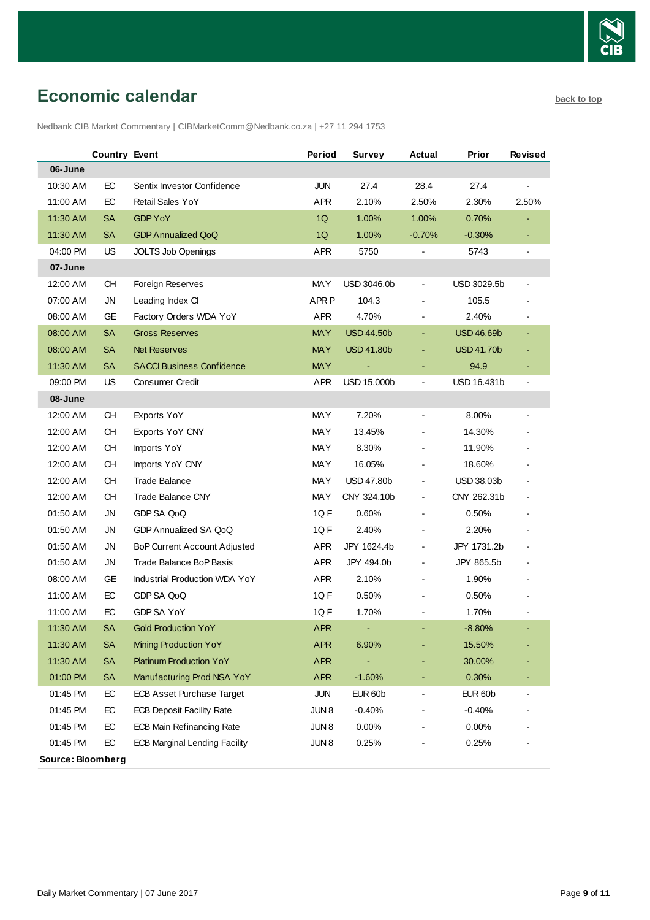

# <span id="page-8-0"></span>**Economic calendar [back to top](#page-0-0) back to top**

Nedbank CIB Market Commentary | CIBMarketComm@Nedbank.co.za | +27 11 294 1753

|                   | <b>Country Event</b> |                                      | Period           | Survey             | Actual                   | Prior             | Revised        |
|-------------------|----------------------|--------------------------------------|------------------|--------------------|--------------------------|-------------------|----------------|
| 06-June           |                      |                                      |                  |                    |                          |                   |                |
| 10:30 AM          | EC                   | Sentix Investor Confidence           | <b>JUN</b>       | 27.4               | 28.4                     | 27.4              | $\blacksquare$ |
| 11:00 AM          | EC                   | <b>Retail Sales YoY</b>              | <b>APR</b>       | 2.10%              | 2.50%                    | 2.30%             | 2.50%          |
| 11:30 AM          | <b>SA</b>            | <b>GDP YoY</b>                       | 1Q               | 1.00%              | 1.00%                    | 0.70%             | $\blacksquare$ |
| 11:30 AM          | <b>SA</b>            | <b>GDP Annualized QoQ</b>            | 1Q               | 1.00%              | $-0.70%$                 | $-0.30%$          | ٠              |
| 04:00 PM          | US                   | <b>JOLTS Job Openings</b>            | <b>APR</b>       | 5750               |                          | 5743              | $\blacksquare$ |
| 07-June           |                      |                                      |                  |                    |                          |                   |                |
| 12:00 AM          | CН                   | Foreign Reserves                     | <b>MAY</b>       | USD 3046.0b        | $\blacksquare$           | USD 3029.5b       |                |
| 07:00 AM          | <b>JN</b>            | Leading Index CI                     | APR <sub>P</sub> | 104.3              |                          | 105.5             |                |
| 08:00 AM          | GE                   | Factory Orders WDA YoY               | APR              | 4.70%              |                          | 2.40%             |                |
| 08:00 AM          | <b>SA</b>            | <b>Gross Reserves</b>                | <b>MAY</b>       | <b>USD 44.50b</b>  |                          | <b>USD 46.69b</b> |                |
| 08:00 AM          | <b>SA</b>            | <b>Net Reserves</b>                  | <b>MAY</b>       | <b>USD 41.80b</b>  |                          | <b>USD 41.70b</b> |                |
| 11:30 AM          | <b>SA</b>            | <b>SACCI Business Confidence</b>     | <b>MAY</b>       |                    |                          | 94.9              |                |
| 09:00 PM          | US                   | <b>Consumer Credit</b>               | <b>APR</b>       | <b>USD 15.000b</b> | $\blacksquare$           | USD 16.431b       | $\blacksquare$ |
| 08-June           |                      |                                      |                  |                    |                          |                   |                |
| 12:00 AM          | <b>CH</b>            | Exports YoY                          | <b>MAY</b>       | 7.20%              | $\overline{\phantom{a}}$ | 8.00%             |                |
| 12:00 AM          | <b>CH</b>            | Exports YoY CNY                      | <b>MAY</b>       | 13.45%             |                          | 14.30%            |                |
| 12:00 AM          | <b>CH</b>            | Imports YoY                          | <b>MAY</b>       | 8.30%              |                          | 11.90%            |                |
| 12:00 AM          | <b>CH</b>            | Imports YoY CNY                      | <b>MAY</b>       | 16.05%             |                          | 18.60%            |                |
| 12:00 AM          | <b>CH</b>            | <b>Trade Balance</b>                 | <b>MAY</b>       | <b>USD 47.80b</b>  |                          | <b>USD 38.03b</b> |                |
| 12:00 AM          | CН                   | <b>Trade Balance CNY</b>             | <b>MAY</b>       | CNY 324.10b        |                          | CNY 262.31b       |                |
| 01:50 AM          | <b>JN</b>            | GDP SA QoQ                           | 1QF              | 0.60%              |                          | 0.50%             |                |
| 01:50 AM          | <b>JN</b>            | GDP Annualized SA QoQ                | 1QF              | 2.40%              |                          | 2.20%             |                |
| 01:50 AM          | <b>JN</b>            | <b>BoP Current Account Adjusted</b>  | <b>APR</b>       | JPY 1624.4b        |                          | JPY 1731.2b       |                |
| 01:50 AM          | JN                   | Trade Balance BoP Basis              | <b>APR</b>       | JPY 494.0b         |                          | JPY 865.5b        |                |
| 08:00 AM          | GE                   | Industrial Production WDA YoY        | APR              | 2.10%              |                          | 1.90%             |                |
| 11:00 AM          | EC                   | GDP SA QoQ                           | 1QF              | 0.50%              |                          | 0.50%             |                |
| 11:00 AM          | EC                   | GDP SA YoY                           | 1QF              | 1.70%              |                          | 1.70%             |                |
| 11:30 AM          | <b>SA</b>            | <b>Gold Production YoY</b>           | <b>APR</b>       |                    |                          | $-8.80%$          |                |
| 11:30 AM          | <b>SA</b>            | Mining Production YoY                | <b>APR</b>       | 6.90%              |                          | 15.50%            |                |
| 11:30 AM          | <b>SA</b>            | <b>Platinum Production YoY</b>       | APR              |                    |                          | 30.00%            |                |
| 01:00 PM          | <b>SA</b>            | Manufacturing Prod NSA YoY           | APR              | $-1.60%$           |                          | 0.30%             |                |
| 01:45 PM          | EC                   | <b>ECB Asset Purchase Target</b>     | <b>JUN</b>       | <b>EUR 60b</b>     |                          | <b>EUR 60b</b>    |                |
| 01:45 PM          | EC                   | <b>ECB Deposit Facility Rate</b>     | JUN <sub>8</sub> | $-0.40%$           |                          | $-0.40%$          |                |
| 01:45 PM          | EC                   | <b>ECB Main Refinancing Rate</b>     | JUN <sub>8</sub> | 0.00%              |                          | 0.00%             |                |
| 01:45 PM          | EC                   | <b>ECB Marginal Lending Facility</b> | JUN <sub>8</sub> | 0.25%              |                          | 0.25%             |                |
| Source: Bloomberg |                      |                                      |                  |                    |                          |                   |                |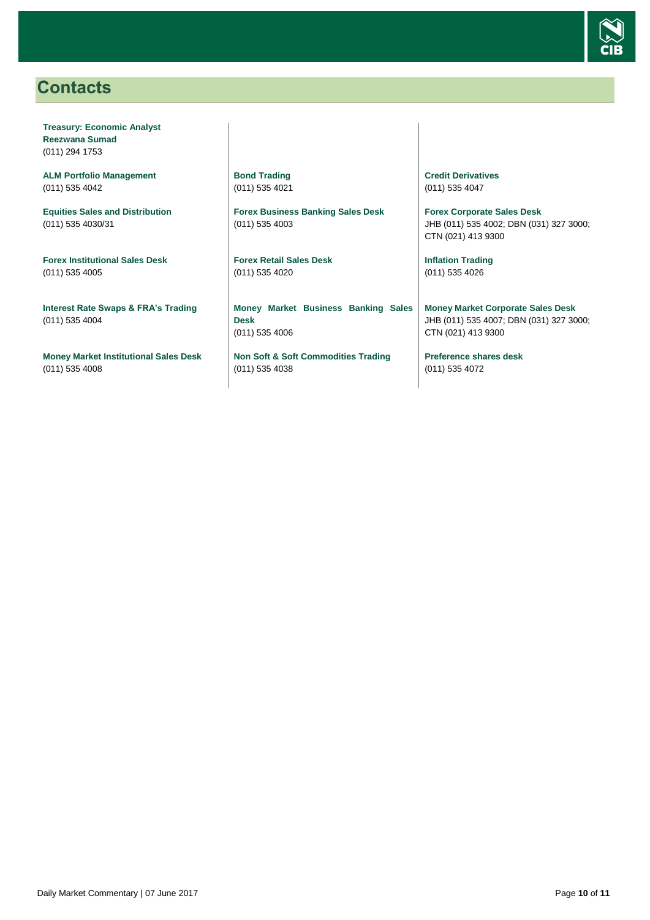

## <span id="page-9-0"></span>**Contacts**

**Treasury: Economic Analyst Reezwana Sumad** (011) 294 1753

**ALM Portfolio Management** (011) 535 4042

**Equities Sales and Distribution** (011) 535 4030/31

**Forex Institutional Sales Desk** (011) 535 4005

**Interest Rate Swaps & FRA's Trading** (011) 535 4004

**Money Market Institutional Sales Desk** (011) 535 4008

**Bond Trading** (011) 535 4021

**Forex Business Banking Sales Desk** (011) 535 4003

**Forex Retail Sales Desk** (011) 535 4020

**Money Market Business Banking Sales Desk** (011) 535 4006

**Non Soft & Soft Commodities Trading** (011) 535 4038

**Credit Derivatives**  (011) 535 4047

**Forex Corporate Sales Desk** JHB (011) 535 4002; DBN (031) 327 3000; CTN (021) 413 9300

**Inflation Trading** (011) 535 4026

**Money Market Corporate Sales Desk** JHB (011) 535 4007; DBN (031) 327 3000; CTN (021) 413 9300

**Preference shares desk** (011) 535 4072